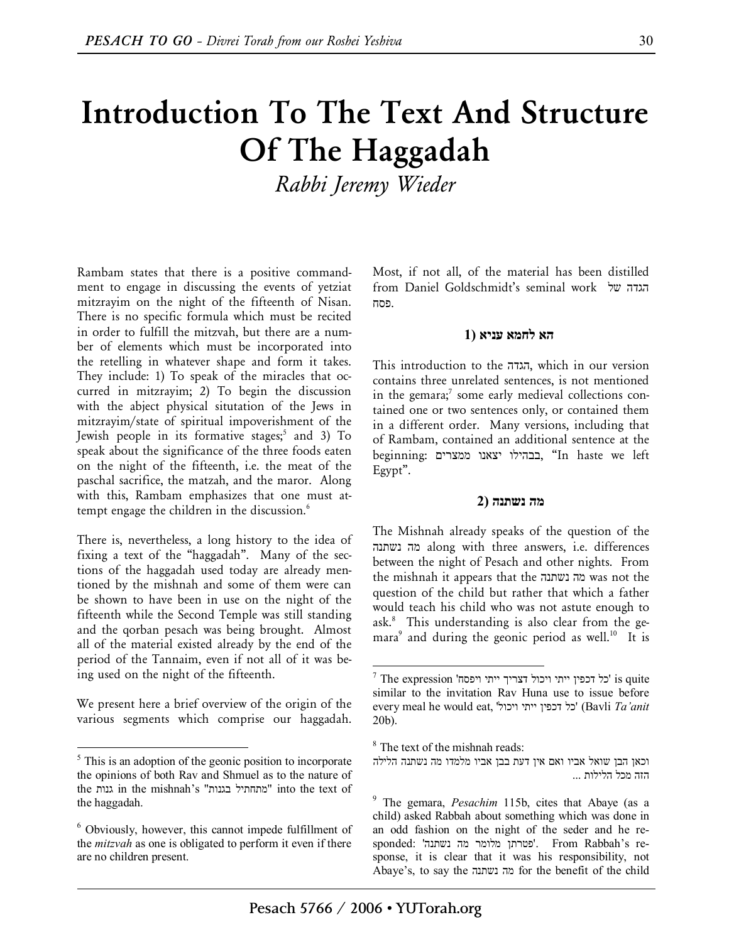# **Introduction To The Text And Structure Of The Haggadah**

*Rabbi Jeremy Wieder* 

Rambam states that there is a positive commandment to engage in discussing the events of yetziat mitzrayim on the night of the fifteenth of Nisan. There is no specific formula which must be recited in order to fulfill the mitzvah, but there are a number of elements which must be incorporated into the retelling in whatever shape and form it takes. They include: 1) To speak of the miracles that occurred in mitzrayim; 2) To begin the discussion with the abject physical situtation of the Jews in mitzrayim/state of spiritual impoverishment of the Jewish people in its formative stages;<sup>5</sup> and 3) To speak about the significance of the three foods eaten on the night of the fifteenth, i.e. the meat of the paschal sacrifice, the matzah, and the maror. Along with this, Rambam emphasizes that one must attempt engage the children in the discussion. $^6$ 

There is, nevertheless, a long history to the idea of fixing a text of the "haggadah". Many of the sections of the haggadah used today are already mentioned by the mishnah and some of them were can be shown to have been in use on the night of the fifteenth while the Second Temple was still standing and the qorban pesach was being brought. Almost all of the material existed already by the end of the period of the Tannaim, even if not all of it was being used on the night of the fifteenth.

We present here a brief overview of the origin of the various segments which comprise our haggadah.

 $\overline{a}$ 

Most, if not all, of the material has been distilled from Daniel Goldschmidt's seminal work של הגדה .פסח

# **הא לחמא עניא (1**

This introduction to the הגדה, which in our version contains three unrelated sentences, is not mentioned in the gemara; $^7$  some early medieval collections contained one or two sentences only, or contained them in a different order. Many versions, including that of Rambam, contained an additional sentence at the beginning: ממצרים יצאנו בבהילו," In haste we left Egypt".

#### **מה נשתנה (2**

The Mishnah already speaks of the question of the נשתנה מה along with three answers, i.e. differences between the night of Pesach and other nights. From the mishnah it appears that the נשתנה מה was not the question of the child but rather that which a father would teach his child who was not astute enough to ask.<sup>8</sup> This understanding is also clear from the gemara<sup>9</sup> and during the geonic period as well.<sup>10</sup> It is

<sup>&</sup>lt;sup>5</sup> This is an adoption of the geonic position to incorporate the opinions of both Rav and Shmuel as to the nature of the גנות in the mishnah's "בגנות מתחתיל "into the text of the haggadah.

<sup>6</sup> Obviously, however, this cannot impede fulfillment of the *mitzvah* as one is obligated to perform it even if there are no children present.

 $^7$  The expression 'יכל דכפין ייתי ויכול דצריך ייתי ויכול  $\,$ is quite similar to the invitation Rav Huna use to issue before every meal he would eat, 'ויכול ייתי דכפין כל) 'Bavli *Ta'anit* 20b).

<sup>8</sup> The text of the mishnah reads:

וכאן הבן שואל אביו ואם אין דעת בבן אביו מלמדו מה נשתנה הלילה הזה מכל הלילות ...

<sup>9</sup> The gemara, *Pesachim* 115b, cites that Abaye (as a child) asked Rabbah about something which was done in an odd fashion on the night of the seder and he responded: 'נשתנה מה מלומר פטרתן'. From Rabbah's response, it is clear that it was his responsibility, not Abaye's, to say the נשתנה מה for the benefit of the child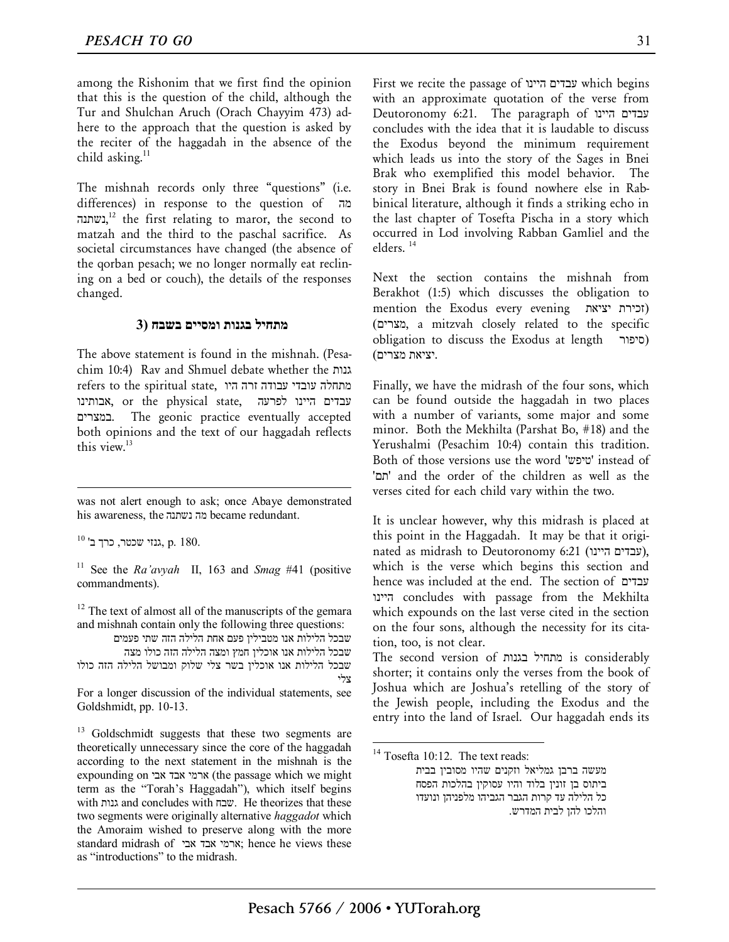among the Rishonim that we first find the opinion that this is the question of the child, although the Tur and Shulchan Aruch (Orach Chayyim 473) adhere to the approach that the question is asked by the reciter of the haggadah in the absence of the child asking.<sup>11</sup>

The mishnah records only three "questions" (i.e. differences) in response to the question of מה נשתנה, $^{12}$  the first relating to maror, the second to matzah and the third to the paschal sacrifice. As societal circumstances have changed (the absence of the qorban pesach; we no longer normally eat reclining on a bed or couch), the details of the responses changed.

## **מתחיל בגנות ומסיים בשבח (3**

The above statement is found in the mishnah. (Pesachim 10:4) Rav and Shmuel debate whether the גנות מתחלה עובדי עבודה זרה היו ,refers to the spiritual state עבדים היינו לפרעה ,state, אבותינו ,state ,אבותינו במצרים. The geonic practice eventually accepted both opinions and the text of our haggadah reflects this view.<sup>13</sup>

was not alert enough to ask; once Abaye demonstrated his awareness, the נשתנה מה became redundant.

 $^{10}$ ברך כרך כרך גנזי שכטר, כרך ב'  $\,$ p. 180.

1

<sup>11</sup> See the *Ra'avyah* II, 163 and *Smag* #41 (positive commandments).

 $12$  The text of almost all of the manuscripts of the gemara and mishnah contain only the following three questions:

שבכל הלילות אנו מטבילין פעם אחת הלילה הזה שתי פעמים שבכל הלילות אנו אוכלין חמץ ומצה הלילה הזה כולו מצה שבכל הלילות אנו אוכלין בשר צלי שלוק ומבושל הלילה הזה כולו

צלי

For a longer discussion of the individual statements, see Goldshmidt, pp. 10-13.

 $13$  Goldschmidt suggests that these two segments are theoretically unnecessary since the core of the haggadah according to the next statement in the mishnah is the expounding on אבי אבד ארמי) the passage which we might term as the "Torah's Haggadah"), which itself begins with גנות and concludes with שבח. He theorizes that these two segments were originally alternative *haggadot* which the Amoraim wished to preserve along with the more standard midrash of אבי אבד ארמי ;hence he views these as "introductions" to the midrash.

First we recite the passage of היינו עבדים which begins with an approximate quotation of the verse from Deutoronomy 6:21. The paragraph of היינו עבדים concludes with the idea that it is laudable to discuss the Exodus beyond the minimum requirement which leads us into the story of the Sages in Bnei Brak who exemplified this model behavior. The story in Bnei Brak is found nowhere else in Rabbinical literature, although it finds a striking echo in the last chapter of Tosefta Pischa in a story which occurred in Lod involving Rabban Gamliel and the elders. 14

Next the section contains the mishnah from Berakhot (1:5) which discusses the obligation to mention the Exodus every evening יציאת זכירת( (מצרים, a mitzvah closely related to the specific obligation to discuss the Exodus at length סיפור( .יציאת מצרים)

Finally, we have the midrash of the four sons, which can be found outside the haggadah in two places with a number of variants, some major and some minor. Both the Mekhilta (Parshat Bo, #18) and the Yerushalmi (Pesachim 10:4) contain this tradition. Both of those versions use the word 'טיפש 'instead of 'תם 'and the order of the children as well as the verses cited for each child vary within the two.

It is unclear however, why this midrash is placed at this point in the Haggadah. It may be that it originated as midrash to Deutoronomy 6:21 (עבדים היינו), which is the verse which begins this section and hence was included at the end. The section of עבדים היינו concludes with passage from the Mekhilta which expounds on the last verse cited in the section on the four sons, although the necessity for its citation, too, is not clear.

The second version of בגנות מתחיל is considerably shorter; it contains only the verses from the book of Joshua which are Joshua's retelling of the story of the Jewish people, including the Exodus and the entry into the land of Israel. Our haggadah ends its

 $14$  Tosefta 10:12. The text reads: מעשה ברבן גמליאל וזקנים שהיו מסובין בבית ביתוס בן זונין בלוד והיו עסוקין בהלכות הפסח כל הלילה עד קרות הגבר הגביהו מלפניהן ונועדו והלכו להן לבית המדרש.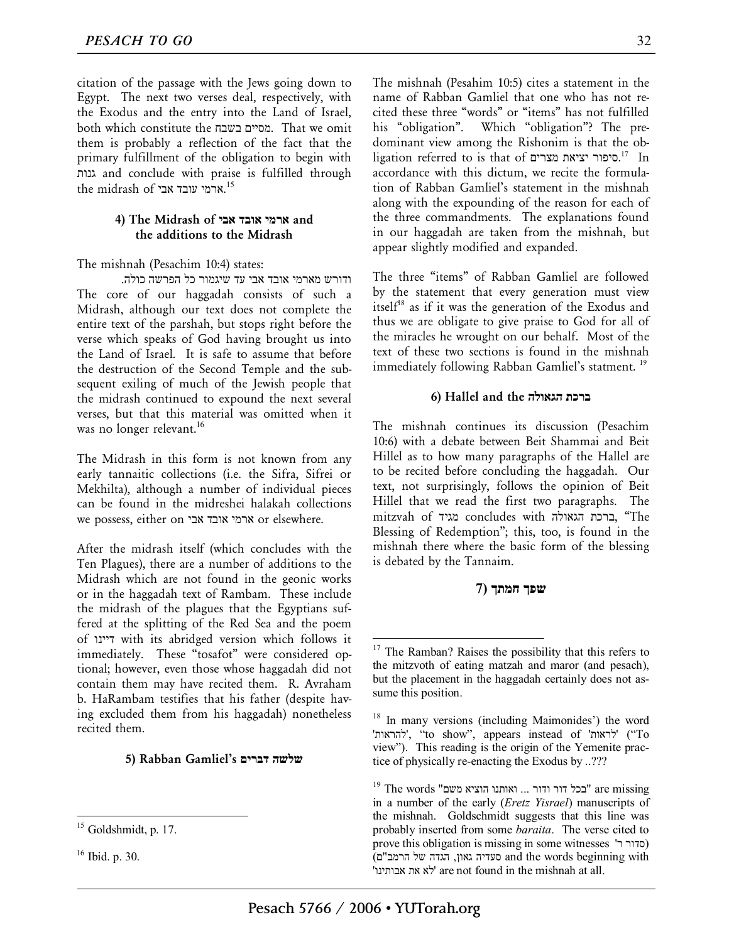citation of the passage with the Jews going down to Egypt. The next two verses deal, respectively, with the Exodus and the entry into the Land of Israel, both which constitute the בשבח מסיים. That we omit them is probably a reflection of the fact that the primary fulfillment of the obligation to begin with גנות and conclude with praise is fulfilled through the midrash of ארמי עובד אבי. $^{\rm 15}$ 

## **4) The Midrash of אבי אובד ארמי and the additions to the Midrash**

The mishnah (Pesachim 10:4) states:

ודורש מארמי אובד אבי עד שיגמור כל הפרשה כולה. The core of our haggadah consists of such a Midrash, although our text does not complete the entire text of the parshah, but stops right before the verse which speaks of God having brought us into the Land of Israel. It is safe to assume that before the destruction of the Second Temple and the subsequent exiling of much of the Jewish people that the midrash continued to expound the next several verses, but that this material was omitted when it was no longer relevant.<sup>16</sup>

The Midrash in this form is not known from any early tannaitic collections (i.e. the Sifra, Sifrei or Mekhilta), although a number of individual pieces can be found in the midreshei halakah collections we possess, either on אבי אובד ארמי or elsewhere.

After the midrash itself (which concludes with the Ten Plagues), there are a number of additions to the Midrash which are not found in the geonic works or in the haggadah text of Rambam. These include the midrash of the plagues that the Egyptians suffered at the splitting of the Red Sea and the poem of דיינו with its abridged version which follows it immediately. These "tosafot" were considered optional; however, even those whose haggadah did not contain them may have recited them. R. Avraham b. HaRambam testifies that his father (despite having excluded them from his haggadah) nonetheless recited them.

## **5) Rabban Gamliel's דברים שלשה**

 $\overline{a}$ 

The mishnah (Pesahim 10:5) cites a statement in the name of Rabban Gamliel that one who has not recited these three "words" or "items" has not fulfilled his "obligation". Which "obligation"? The predominant view among the Rishonim is that the obligation referred to is that of סיפור יציאת מצרים.<sup>17</sup> In accordance with this dictum, we recite the formulation of Rabban Gamliel's statement in the mishnah along with the expounding of the reason for each of the three commandments. The explanations found in our haggadah are taken from the mishnah, but appear slightly modified and expanded.

The three "items" of Rabban Gamliel are followed by the statement that every generation must view itsel $f^{18}$  as if it was the generation of the Exodus and thus we are obligate to give praise to God for all of the miracles he wrought on our behalf. Most of the text of these two sections is found in the mishnah immediately following Rabban Gamliel's statment.<sup>19</sup>

#### **6) Hallel and the הגאולה ברכת**

The mishnah continues its discussion (Pesachim 10:6) with a debate between Beit Shammai and Beit Hillel as to how many paragraphs of the Hallel are to be recited before concluding the haggadah. Our text, not surprisingly, follows the opinion of Beit Hillel that we read the first two paragraphs. The mitzvah of מגיד concludes with הגאולה ברכת," The Blessing of Redemption"; this, too, is found in the mishnah there where the basic form of the blessing is debated by the Tannaim.

# **שפך חמתך (7**

Goldshmidt, p. 17.

<sup>16</sup> Ibid. p. 30.

<sup>&</sup>lt;sup>17</sup> The Ramban? Raises the possibility that this refers to the mitzvoth of eating matzah and maror (and pesach), but the placement in the haggadah certainly does not assume this position.

<sup>&</sup>lt;sup>18</sup> In many versions (including Maimonides') the word 'להראות'," to show", appears instead of 'לראות") 'To view"). This reading is the origin of the Yemenite practice of physically re-enacting the Exodus by ..???

 $^{19}$  The words "בכל דור ודור ... ואותנו הוציא משם" are missing " in a number of the early (*Eretz Yisrael*) manuscripts of the mishnah. Goldschmidt suggests that this line was probably inserted from some *baraita*. The verse cited to prove this obligation is missing in some witnesses 'סדור ר with beginning words the and סעדיה גאון, הגדה של הרמב"ם) 'אבותינו את לא 'are not found in the mishnah at all.